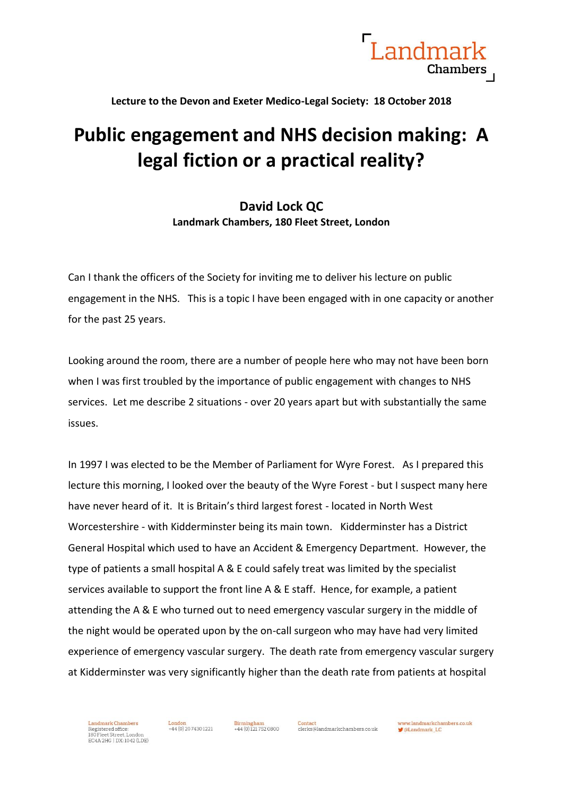

**Lecture to the Devon and Exeter Medico-Legal Society: 18 October 2018**

## **Public engagement and NHS decision making: A legal fiction or a practical reality?**

## **David Lock QC Landmark Chambers, 180 Fleet Street, London**

Can I thank the officers of the Society for inviting me to deliver his lecture on public engagement in the NHS. This is a topic I have been engaged with in one capacity or another for the past 25 years.

Looking around the room, there are a number of people here who may not have been born when I was first troubled by the importance of public engagement with changes to NHS services. Let me describe 2 situations - over 20 years apart but with substantially the same issues.

In 1997 I was elected to be the Member of Parliament for Wyre Forest. As I prepared this lecture this morning, I looked over the beauty of the Wyre Forest - but I suspect many here have never heard of it. It is Britain's third largest forest - located in North West Worcestershire - with Kidderminster being its main town. Kidderminster has a District General Hospital which used to have an Accident & Emergency Department. However, the type of patients a small hospital A & E could safely treat was limited by the specialist services available to support the front line A & E staff. Hence, for example, a patient attending the A & E who turned out to need emergency vascular surgery in the middle of the night would be operated upon by the on-call surgeon who may have had very limited experience of emergency vascular surgery. The death rate from emergency vascular surgery at Kidderminster was very significantly higher than the death rate from patients at hospital

444 (0) 121 752 0800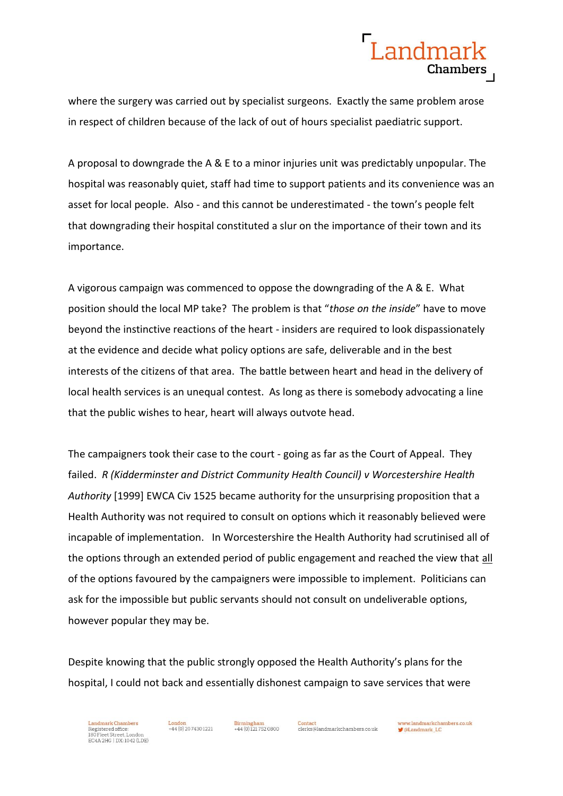

where the surgery was carried out by specialist surgeons. Exactly the same problem arose in respect of children because of the lack of out of hours specialist paediatric support.

A proposal to downgrade the A & E to a minor injuries unit was predictably unpopular. The hospital was reasonably quiet, staff had time to support patients and its convenience was an asset for local people. Also - and this cannot be underestimated - the town's people felt that downgrading their hospital constituted a slur on the importance of their town and its importance.

A vigorous campaign was commenced to oppose the downgrading of the A & E. What position should the local MP take? The problem is that "*those on the inside*" have to move beyond the instinctive reactions of the heart - insiders are required to look dispassionately at the evidence and decide what policy options are safe, deliverable and in the best interests of the citizens of that area. The battle between heart and head in the delivery of local health services is an unequal contest. As long as there is somebody advocating a line that the public wishes to hear, heart will always outvote head.

The campaigners took their case to the court - going as far as the Court of Appeal. They failed. *R (Kidderminster and District Community Health Council) v Worcestershire Health Authority* [1999] EWCA Civ 1525 became authority for the unsurprising proposition that a Health Authority was not required to consult on options which it reasonably believed were incapable of implementation. In Worcestershire the Health Authority had scrutinised all of the options through an extended period of public engagement and reached the view that all of the options favoured by the campaigners were impossible to implement. Politicians can ask for the impossible but public servants should not consult on undeliverable options, however popular they may be.

Despite knowing that the public strongly opposed the Health Authority's plans for the hospital, I could not back and essentially dishonest campaign to save services that were



444 (0) 121 752 0800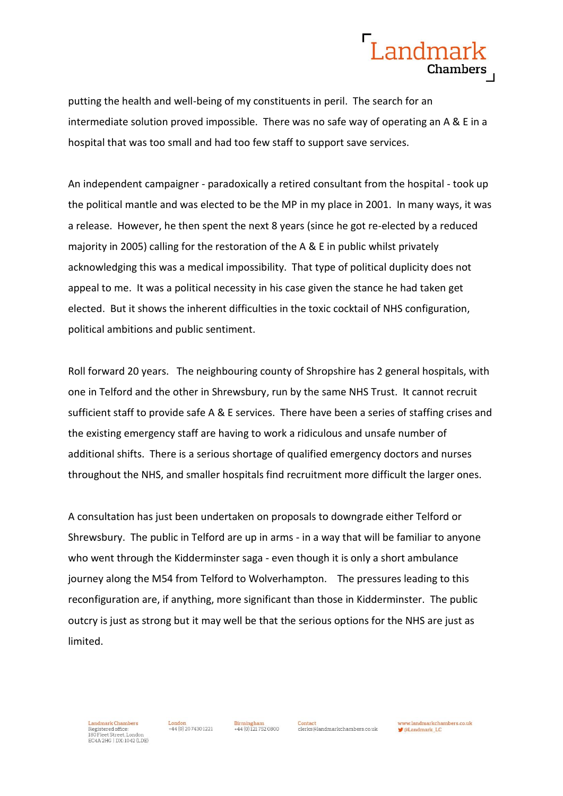

putting the health and well-being of my constituents in peril. The search for an intermediate solution proved impossible. There was no safe way of operating an A & E in a hospital that was too small and had too few staff to support save services.

An independent campaigner - paradoxically a retired consultant from the hospital - took up the political mantle and was elected to be the MP in my place in 2001. In many ways, it was a release. However, he then spent the next 8 years (since he got re-elected by a reduced majority in 2005) calling for the restoration of the A & E in public whilst privately acknowledging this was a medical impossibility. That type of political duplicity does not appeal to me. It was a political necessity in his case given the stance he had taken get elected. But it shows the inherent difficulties in the toxic cocktail of NHS configuration, political ambitions and public sentiment.

Roll forward 20 years. The neighbouring county of Shropshire has 2 general hospitals, with one in Telford and the other in Shrewsbury, run by the same NHS Trust. It cannot recruit sufficient staff to provide safe A & E services. There have been a series of staffing crises and the existing emergency staff are having to work a ridiculous and unsafe number of additional shifts. There is a serious shortage of qualified emergency doctors and nurses throughout the NHS, and smaller hospitals find recruitment more difficult the larger ones.

A consultation has just been undertaken on proposals to downgrade either Telford or Shrewsbury. The public in Telford are up in arms - in a way that will be familiar to anyone who went through the Kidderminster saga - even though it is only a short ambulance journey along the M54 from Telford to Wolverhampton. The pressures leading to this reconfiguration are, if anything, more significant than those in Kidderminster. The public outcry is just as strong but it may well be that the serious options for the NHS are just as limited.



 $+44(0)2074301221$ 

 $+44(0)1217520800$ 

Contact

clerks@landmarkchambers.co.uk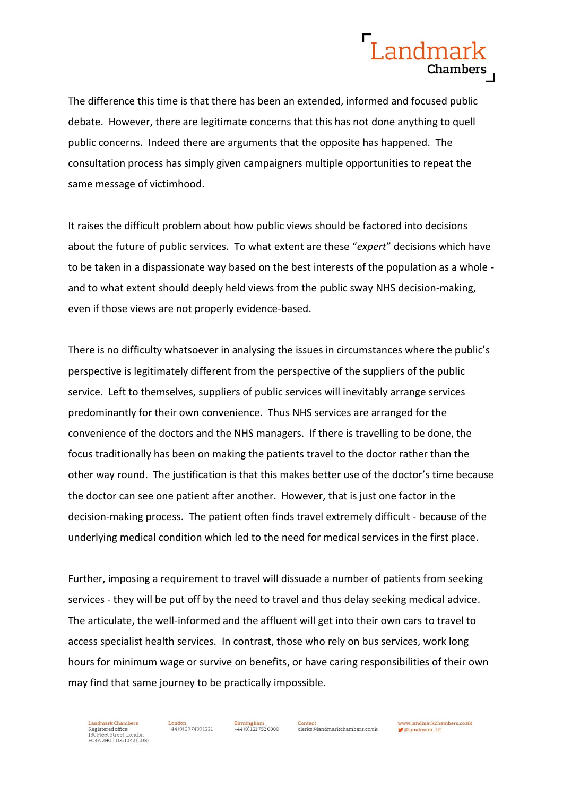

The difference this time is that there has been an extended, informed and focused public debate. However, there are legitimate concerns that this has not done anything to quell public concerns. Indeed there are arguments that the opposite has happened. The consultation process has simply given campaigners multiple opportunities to repeat the same message of victimhood.

It raises the difficult problem about how public views should be factored into decisions about the future of public services. To what extent are these "*expert*" decisions which have to be taken in a dispassionate way based on the best interests of the population as a whole and to what extent should deeply held views from the public sway NHS decision-making, even if those views are not properly evidence-based.

There is no difficulty whatsoever in analysing the issues in circumstances where the public's perspective is legitimately different from the perspective of the suppliers of the public service. Left to themselves, suppliers of public services will inevitably arrange services predominantly for their own convenience. Thus NHS services are arranged for the convenience of the doctors and the NHS managers. If there is travelling to be done, the focus traditionally has been on making the patients travel to the doctor rather than the other way round. The justification is that this makes better use of the doctor's time because the doctor can see one patient after another. However, that is just one factor in the decision-making process. The patient often finds travel extremely difficult - because of the underlying medical condition which led to the need for medical services in the first place.

Further, imposing a requirement to travel will dissuade a number of patients from seeking services - they will be put off by the need to travel and thus delay seeking medical advice. The articulate, the well-informed and the affluent will get into their own cars to travel to access specialist health services. In contrast, those who rely on bus services, work long hours for minimum wage or survive on benefits, or have caring responsibilities of their own may find that same journey to be practically impossible.



 $+44(0)1217520800$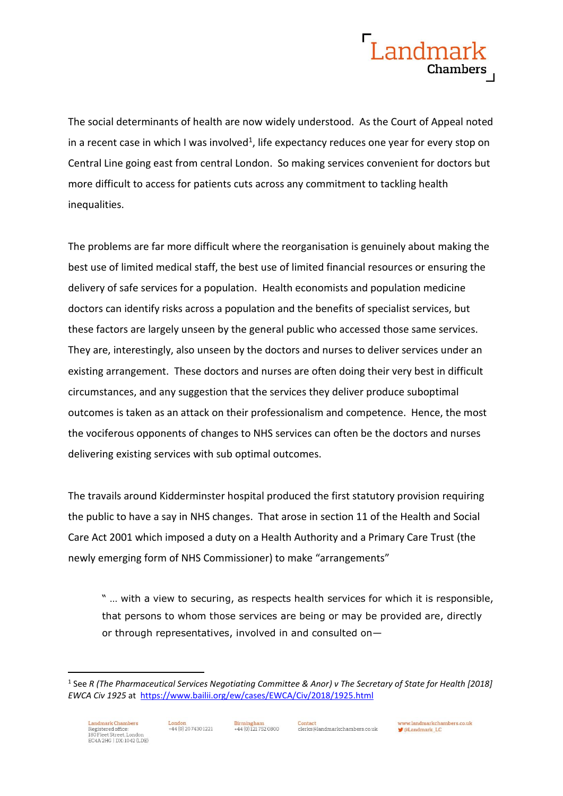## Landmar Chambers

The social determinants of health are now widely understood. As the Court of Appeal noted in a recent case in which I was involved<sup>1</sup>, life expectancy reduces one year for every stop on Central Line going east from central London. So making services convenient for doctors but more difficult to access for patients cuts across any commitment to tackling health inequalities.

The problems are far more difficult where the reorganisation is genuinely about making the best use of limited medical staff, the best use of limited financial resources or ensuring the delivery of safe services for a population. Health economists and population medicine doctors can identify risks across a population and the benefits of specialist services, but these factors are largely unseen by the general public who accessed those same services. They are, interestingly, also unseen by the doctors and nurses to deliver services under an existing arrangement. These doctors and nurses are often doing their very best in difficult circumstances, and any suggestion that the services they deliver produce suboptimal outcomes is taken as an attack on their professionalism and competence. Hence, the most the vociferous opponents of changes to NHS services can often be the doctors and nurses delivering existing services with sub optimal outcomes.

The travails around Kidderminster hospital produced the first statutory provision requiring the public to have a say in NHS changes. That arose in section 11 of the Health and Social Care Act 2001 which imposed a duty on a Health Authority and a Primary Care Trust (the newly emerging form of NHS Commissioner) to make "arrangements"

" … with a view to securing, as respects health services for which it is responsible, that persons to whom those services are being or may be provided are, directly or through representatives, involved in and consulted on—

**Birmingham** 

-

<sup>1</sup> See *R (The Pharmaceutical Services Negotiating Committee & Anor) v The Secretary of State for Health [2018] EWCA Civ 1925* at <https://www.bailii.org/ew/cases/EWCA/Civ/2018/1925.html>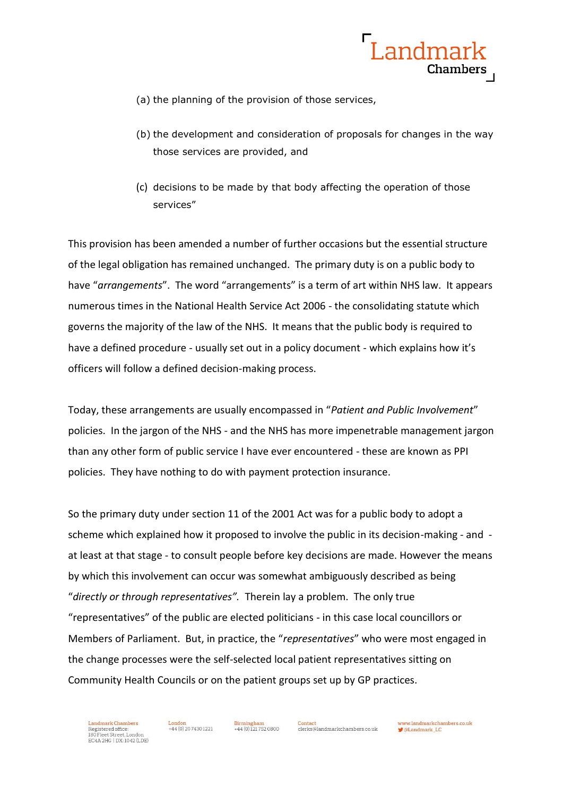

- (a) the planning of the provision of those services,
- (b) the development and consideration of proposals for changes in the way those services are provided, and
- (c) decisions to be made by that body affecting the operation of those services"

This provision has been amended a number of further occasions but the essential structure of the legal obligation has remained unchanged. The primary duty is on a public body to have "*arrangements*". The word "arrangements" is a term of art within NHS law. It appears numerous times in the National Health Service Act 2006 - the consolidating statute which governs the majority of the law of the NHS. It means that the public body is required to have a defined procedure - usually set out in a policy document - which explains how it's officers will follow a defined decision-making process.

Today, these arrangements are usually encompassed in "*Patient and Public Involvement*" policies. In the jargon of the NHS - and the NHS has more impenetrable management jargon than any other form of public service I have ever encountered - these are known as PPI policies. They have nothing to do with payment protection insurance.

So the primary duty under section 11 of the 2001 Act was for a public body to adopt a scheme which explained how it proposed to involve the public in its decision-making - and at least at that stage - to consult people before key decisions are made. However the means by which this involvement can occur was somewhat ambiguously described as being "*directly or through representatives".* Therein lay a problem. The only true "representatives" of the public are elected politicians - in this case local councillors or Members of Parliament. But, in practice, the "*representatives*" who were most engaged in the change processes were the self-selected local patient representatives sitting on Community Health Councils or on the patient groups set up by GP practices.

Landmark Chambers Eandmark Chambers<br>Registered office:<br>180 Fleet Street, London<br>EC4A 2HG | DX: 1042 (LDE)  $+44(0)$  20.7430.1221

444 (0) 121 752 0800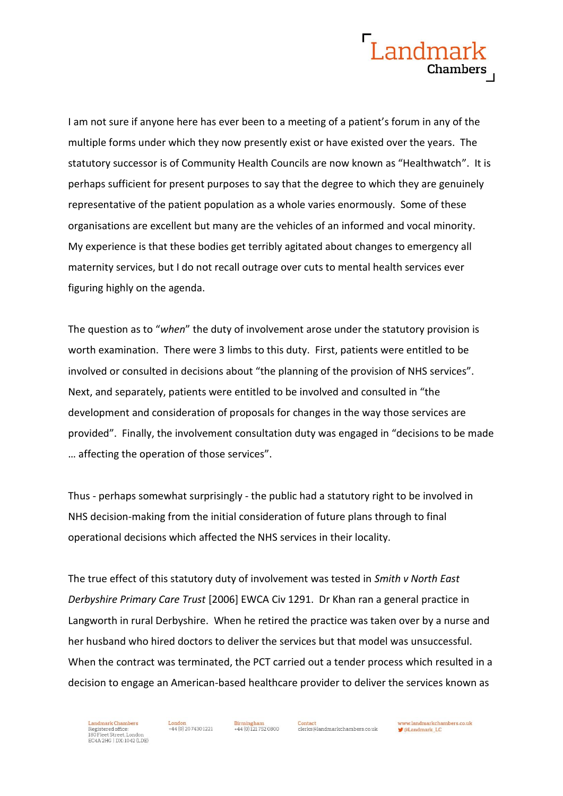

I am not sure if anyone here has ever been to a meeting of a patient's forum in any of the multiple forms under which they now presently exist or have existed over the years. The statutory successor is of Community Health Councils are now known as "Healthwatch". It is perhaps sufficient for present purposes to say that the degree to which they are genuinely representative of the patient population as a whole varies enormously. Some of these organisations are excellent but many are the vehicles of an informed and vocal minority. My experience is that these bodies get terribly agitated about changes to emergency all maternity services, but I do not recall outrage over cuts to mental health services ever figuring highly on the agenda.

The question as to "*when*" the duty of involvement arose under the statutory provision is worth examination. There were 3 limbs to this duty. First, patients were entitled to be involved or consulted in decisions about "the planning of the provision of NHS services". Next, and separately, patients were entitled to be involved and consulted in "the development and consideration of proposals for changes in the way those services are provided". Finally, the involvement consultation duty was engaged in "decisions to be made … affecting the operation of those services".

Thus - perhaps somewhat surprisingly - the public had a statutory right to be involved in NHS decision-making from the initial consideration of future plans through to final operational decisions which affected the NHS services in their locality.

The true effect of this statutory duty of involvement was tested in *Smith v North East Derbyshire Primary Care Trust* [2006] EWCA Civ 1291. Dr Khan ran a general practice in Langworth in rural Derbyshire. When he retired the practice was taken over by a nurse and her husband who hired doctors to deliver the services but that model was unsuccessful. When the contract was terminated, the PCT carried out a tender process which resulted in a decision to engage an American-based healthcare provider to deliver the services known as

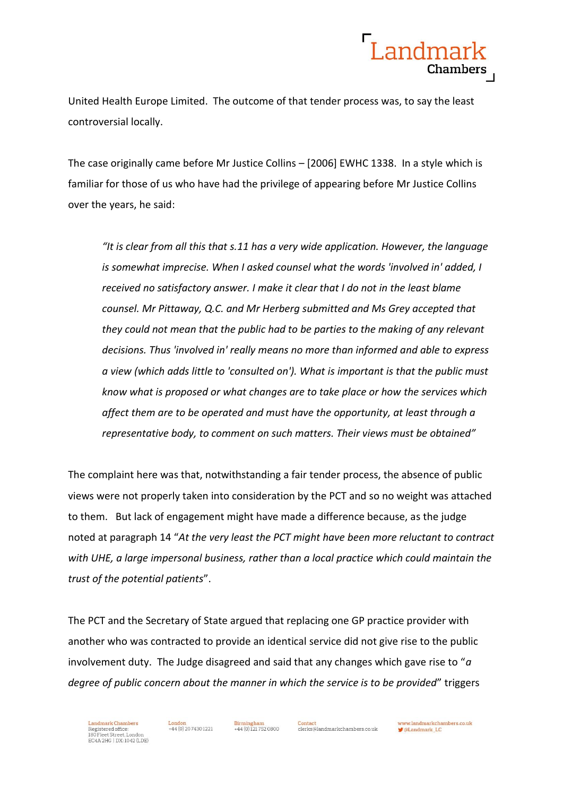

United Health Europe Limited. The outcome of that tender process was, to say the least controversial locally.

The case originally came before Mr Justice Collins – [2006] EWHC 1338. In a style which is familiar for those of us who have had the privilege of appearing before Mr Justice Collins over the years, he said:

*"It is clear from all this that s.11 has a very wide application. However, the language is somewhat imprecise. When I asked counsel what the words 'involved in' added, I received no satisfactory answer. I make it clear that I do not in the least blame counsel. Mr Pittaway, Q.C. and Mr Herberg submitted and Ms Grey accepted that they could not mean that the public had to be parties to the making of any relevant decisions. Thus 'involved in' really means no more than informed and able to express a view (which adds little to 'consulted on'). What is important is that the public must know what is proposed or what changes are to take place or how the services which affect them are to be operated and must have the opportunity, at least through a representative body, to comment on such matters. Their views must be obtained"*

The complaint here was that, notwithstanding a fair tender process, the absence of public views were not properly taken into consideration by the PCT and so no weight was attached to them. But lack of engagement might have made a difference because, as the judge noted at paragraph 14 "*At the very least the PCT might have been more reluctant to contract with UHE, a large impersonal business, rather than a local practice which could maintain the trust of the potential patients*".

The PCT and the Secretary of State argued that replacing one GP practice provider with another who was contracted to provide an identical service did not give rise to the public involvement duty. The Judge disagreed and said that any changes which gave rise to "*a degree of public concern about the manner in which the service is to be provided*" triggers

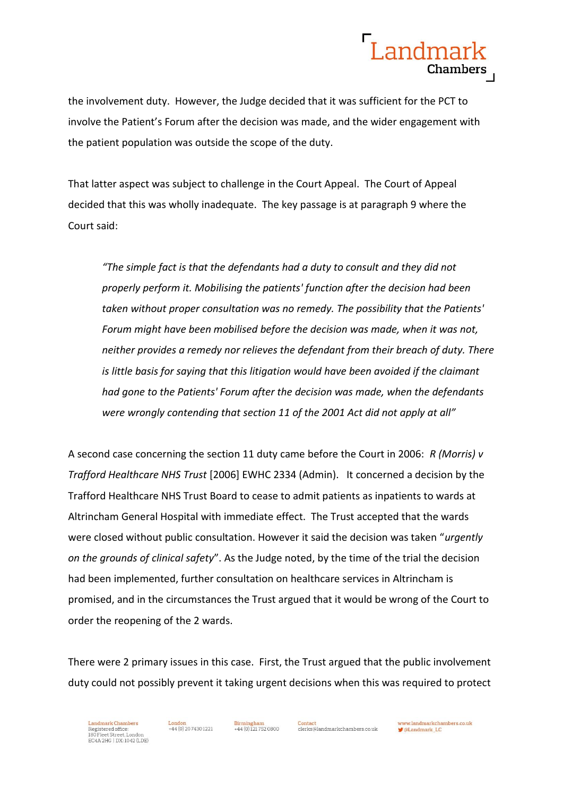

the involvement duty. However, the Judge decided that it was sufficient for the PCT to involve the Patient's Forum after the decision was made, and the wider engagement with the patient population was outside the scope of the duty.

That latter aspect was subject to challenge in the Court Appeal. The Court of Appeal decided that this was wholly inadequate. The key passage is at paragraph 9 where the Court said:

*"The simple fact is that the defendants had a duty to consult and they did not properly perform it. Mobilising the patients' function after the decision had been taken without proper consultation was no remedy. The possibility that the Patients' Forum might have been mobilised before the decision was made, when it was not, neither provides a remedy nor relieves the defendant from their breach of duty. There is little basis for saying that this litigation would have been avoided if the claimant had gone to the Patients' Forum after the decision was made, when the defendants were wrongly contending that section 11 of the 2001 Act did not apply at all"*

A second case concerning the section 11 duty came before the Court in 2006: *R (Morris) v Trafford Healthcare NHS Trust* [2006] EWHC 2334 (Admin). It concerned a decision by the Trafford Healthcare NHS Trust Board to cease to admit patients as inpatients to wards at Altrincham General Hospital with immediate effect. The Trust accepted that the wards were closed without public consultation. However it said the decision was taken "*urgently on the grounds of clinical safety*". As the Judge noted, by the time of the trial the decision had been implemented, further consultation on healthcare services in Altrincham is promised, and in the circumstances the Trust argued that it would be wrong of the Court to order the reopening of the 2 wards.

There were 2 primary issues in this case. First, the Trust argued that the public involvement duty could not possibly prevent it taking urgent decisions when this was required to protect

Landmark Chambers Eandmark Chambers<br>Registered office:<br>180 Fleet Street, London<br>EC4A 2HG | DX: 1042 (LDE)

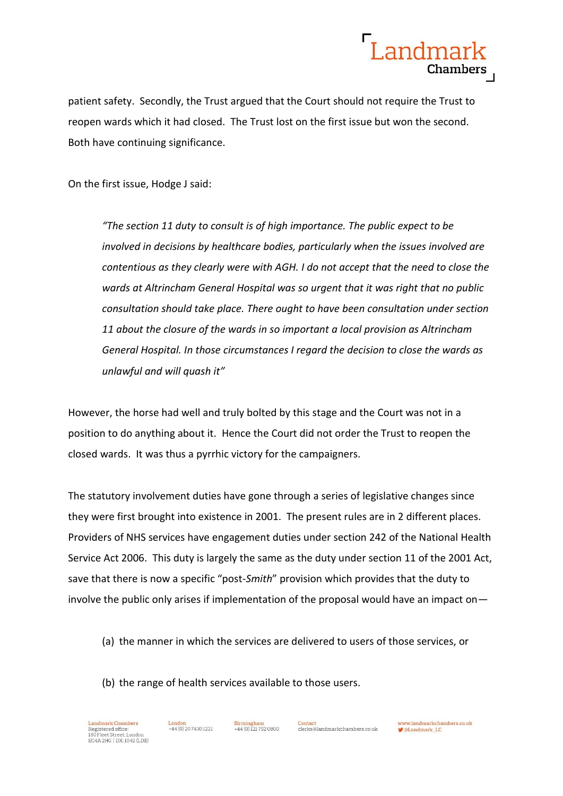

patient safety. Secondly, the Trust argued that the Court should not require the Trust to reopen wards which it had closed. The Trust lost on the first issue but won the second. Both have continuing significance.

On the first issue, Hodge J said:

*"The section 11 duty to consult is of high importance. The public expect to be involved in decisions by healthcare bodies, particularly when the issues involved are contentious as they clearly were with AGH. I do not accept that the need to close the wards at Altrincham General Hospital was so urgent that it was right that no public consultation should take place. There ought to have been consultation under section 11 about the closure of the wards in so important a local provision as Altrincham General Hospital. In those circumstances I regard the decision to close the wards as unlawful and will quash it"*

However, the horse had well and truly bolted by this stage and the Court was not in a position to do anything about it. Hence the Court did not order the Trust to reopen the closed wards. It was thus a pyrrhic victory for the campaigners.

The statutory involvement duties have gone through a series of legislative changes since they were first brought into existence in 2001. The present rules are in 2 different places. Providers of NHS services have engagement duties under section 242 of the National Health Service Act 2006. This duty is largely the same as the duty under section 11 of the 2001 Act, save that there is now a specific "post-*Smith*" provision which provides that the duty to involve the public only arises if implementation of the proposal would have an impact on—

(a) the manner in which the services are delivered to users of those services, or

(b) the range of health services available to those users.



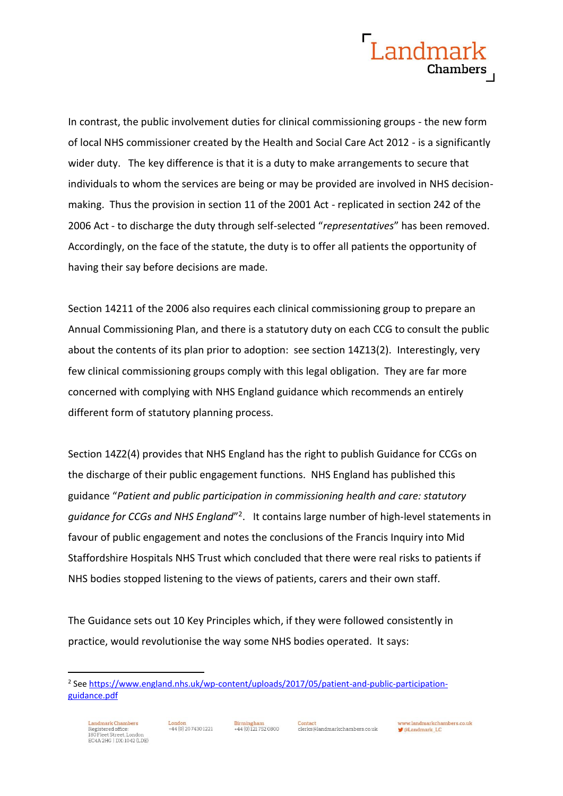

In contrast, the public involvement duties for clinical commissioning groups - the new form of local NHS commissioner created by the Health and Social Care Act 2012 - is a significantly wider duty. The key difference is that it is a duty to make arrangements to secure that individuals to whom the services are being or may be provided are involved in NHS decisionmaking. Thus the provision in section 11 of the 2001 Act - replicated in section 242 of the 2006 Act - to discharge the duty through self-selected "*representatives*" has been removed. Accordingly, on the face of the statute, the duty is to offer all patients the opportunity of having their say before decisions are made.

Section 14211 of the 2006 also requires each clinical commissioning group to prepare an Annual Commissioning Plan, and there is a statutory duty on each CCG to consult the public about the contents of its plan prior to adoption: see section 14Z13(2). Interestingly, very few clinical commissioning groups comply with this legal obligation. They are far more concerned with complying with NHS England guidance which recommends an entirely different form of statutory planning process.

Section 14Z2(4) provides that NHS England has the right to publish Guidance for CCGs on the discharge of their public engagement functions. NHS England has published this guidance "*[Patient and public participation in commissioning health and care: statutory](https://www.england.nhs.uk/wp-content/uploads/2017/05/patient-and-public-participation-guidance.pdf)*  [guidance for CCGs and NHS England](https://www.england.nhs.uk/wp-content/uploads/2017/05/patient-and-public-participation-guidance.pdf)<sup>"2</sup>. It contains large number of high-level statements in favour of public engagement and notes the conclusions of the Francis Inquiry into Mid Staffordshire Hospitals NHS Trust which concluded that there were real risks to patients if NHS bodies stopped listening to the views of patients, carers and their own staff.

The Guidance sets out 10 Key Principles which, if they were followed consistently in practice, would revolutionise the way some NHS bodies operated. It says:

-

<sup>&</sup>lt;sup>2</sup> See <u>https://www.england.nhs.uk/wp-content/uploads/2017/05/patient-and-public-participation-</u> [guidance.pdf](https://www.england.nhs.uk/wp-content/uploads/2017/05/patient-and-public-participation-guidance.pdf)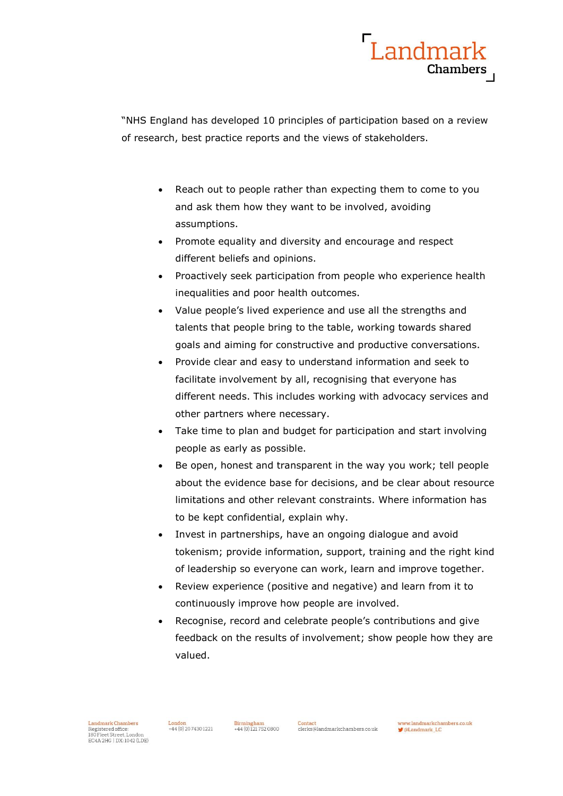

"NHS England has developed 10 principles of participation based on a review of research, best practice reports and the views of stakeholders.

- Reach out to people rather than expecting them to come to you and ask them how they want to be involved, avoiding assumptions.
- Promote equality and diversity and encourage and respect different beliefs and opinions.
- Proactively seek participation from people who experience health inequalities and poor health outcomes.
- Value people's lived experience and use all the strengths and talents that people bring to the table, working towards shared goals and aiming for constructive and productive conversations.
- Provide clear and easy to understand information and seek to facilitate involvement by all, recognising that everyone has different needs. This includes working with advocacy services and other partners where necessary.
- Take time to plan and budget for participation and start involving people as early as possible.
- Be open, honest and transparent in the way you work; tell people about the evidence base for decisions, and be clear about resource limitations and other relevant constraints. Where information has to be kept confidential, explain why.
- Invest in partnerships, have an ongoing dialogue and avoid tokenism; provide information, support, training and the right kind of leadership so everyone can work, learn and improve together.
- Review experience (positive and negative) and learn from it to continuously improve how people are involved.
- Recognise, record and celebrate people's contributions and give feedback on the results of involvement; show people how they are valued.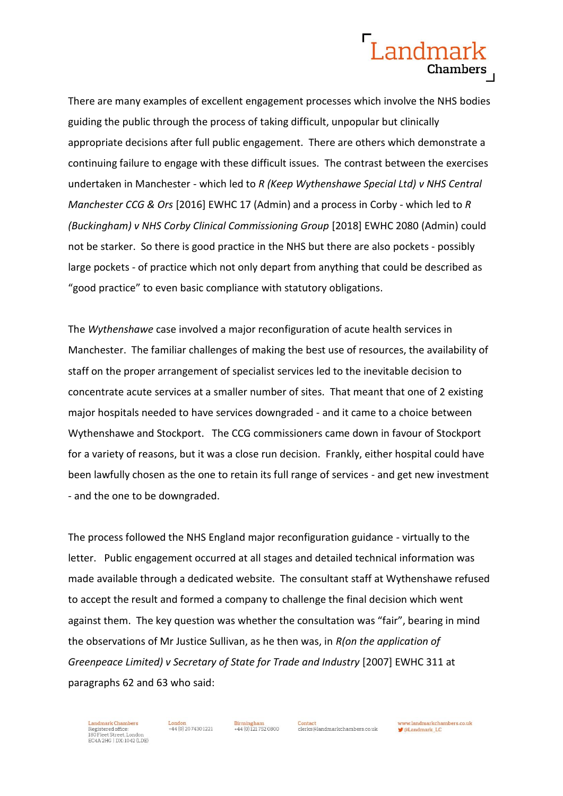## Landmark Chambers

There are many examples of excellent engagement processes which involve the NHS bodies guiding the public through the process of taking difficult, unpopular but clinically appropriate decisions after full public engagement. There are others which demonstrate a continuing failure to engage with these difficult issues. The contrast between the exercises undertaken in Manchester - which led to *R (Keep Wythenshawe Special Ltd) v NHS Central Manchester CCG & Ors* [2016] EWHC 17 (Admin) and a process in Corby - which led to *R (Buckingham) v NHS Corby Clinical Commissioning Group* [2018] EWHC 2080 (Admin) could not be starker. So there is good practice in the NHS but there are also pockets - possibly large pockets - of practice which not only depart from anything that could be described as "good practice" to even basic compliance with statutory obligations.

The *Wythenshawe* case involved a major reconfiguration of acute health services in Manchester. The familiar challenges of making the best use of resources, the availability of staff on the proper arrangement of specialist services led to the inevitable decision to concentrate acute services at a smaller number of sites. That meant that one of 2 existing major hospitals needed to have services downgraded - and it came to a choice between Wythenshawe and Stockport. The CCG commissioners came down in favour of Stockport for a variety of reasons, but it was a close run decision. Frankly, either hospital could have been lawfully chosen as the one to retain its full range of services - and get new investment - and the one to be downgraded.

The process followed the NHS England major reconfiguration guidance - virtually to the letter. Public engagement occurred at all stages and detailed technical information was made available through a dedicated website. The consultant staff at Wythenshawe refused to accept the result and formed a company to challenge the final decision which went against them. The key question was whether the consultation was "fair", bearing in mind the observations of Mr Justice Sullivan, as he then was, in *R(on the application of Greenpeace Limited) v Secretary of State for Trade and Industry* [2007] EWHC 311 at paragraphs 62 and 63 who said:

Landmark Chambers Eandmark Chambers<br>Registered office:<br>180 Fleet Street, London<br>EC4A 2HG | DX: 1042 (LDE)

 $+44(0)$  20.7430.1221

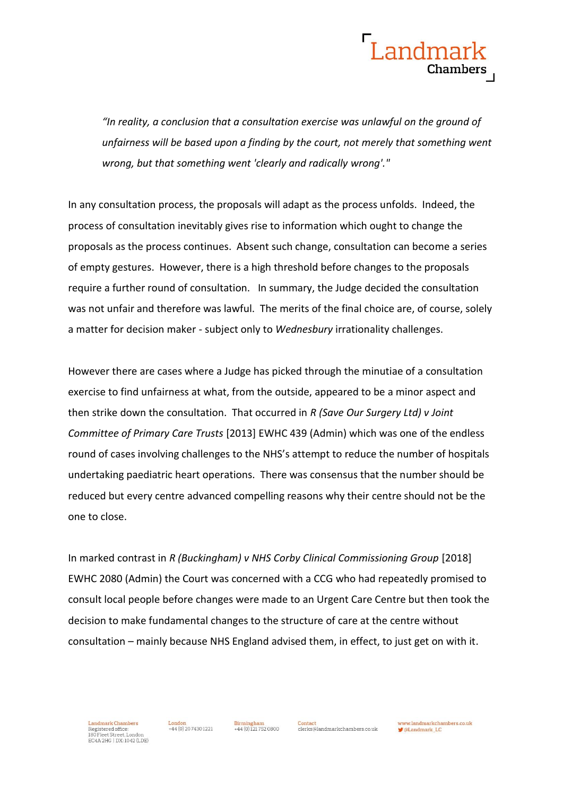

*"In reality, a conclusion that a consultation exercise was unlawful on the ground of unfairness will be based upon a finding by the court, not merely that something went wrong, but that something went 'clearly and radically wrong'."*

In any consultation process, the proposals will adapt as the process unfolds. Indeed, the process of consultation inevitably gives rise to information which ought to change the proposals as the process continues. Absent such change, consultation can become a series of empty gestures. However, there is a high threshold before changes to the proposals require a further round of consultation. In summary, the Judge decided the consultation was not unfair and therefore was lawful. The merits of the final choice are, of course, solely a matter for decision maker - subject only to *Wednesbury* irrationality challenges.

However there are cases where a Judge has picked through the minutiae of a consultation exercise to find unfairness at what, from the outside, appeared to be a minor aspect and then strike down the consultation. That occurred in *R (Save Our Surgery Ltd) v Joint Committee of Primary Care Trusts* [2013] EWHC 439 (Admin) which was one of the endless round of cases involving challenges to the NHS's attempt to reduce the number of hospitals undertaking paediatric heart operations. There was consensus that the number should be reduced but every centre advanced compelling reasons why their centre should not be the one to close.

In marked contrast in *R (Buckingham) v NHS Corby Clinical Commissioning Group* [2018] EWHC 2080 (Admin) the Court was concerned with a CCG who had repeatedly promised to consult local people before changes were made to an Urgent Care Centre but then took the decision to make fundamental changes to the structure of care at the centre without consultation – mainly because NHS England advised them, in effect, to just get on with it.



 $+44(0)2074301221$ 

 $+44(0)1217520800$ 

Contact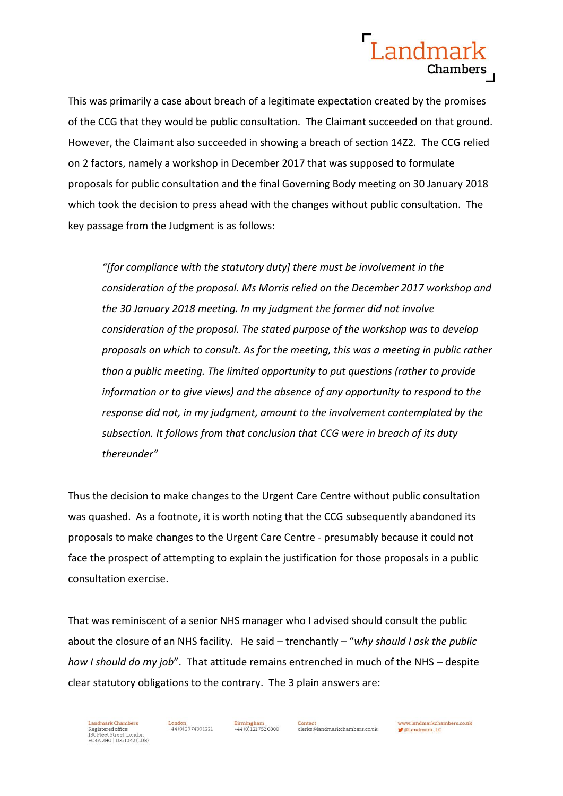

This was primarily a case about breach of a legitimate expectation created by the promises of the CCG that they would be public consultation. The Claimant succeeded on that ground. However, the Claimant also succeeded in showing a breach of section 14Z2. The CCG relied on 2 factors, namely a workshop in December 2017 that was supposed to formulate proposals for public consultation and the final Governing Body meeting on 30 January 2018 which took the decision to press ahead with the changes without public consultation. The key passage from the Judgment is as follows:

*"[for compliance with the statutory duty] there must be involvement in the consideration of the proposal. Ms Morris relied on the December 2017 workshop and the 30 January 2018 meeting. In my judgment the former did not involve consideration of the proposal. The stated purpose of the workshop was to develop proposals on which to consult. As for the meeting, this was a meeting in public rather than a public meeting. The limited opportunity to put questions (rather to provide information or to give views) and the absence of any opportunity to respond to the response did not, in my judgment, amount to the involvement contemplated by the subsection. It follows from that conclusion that CCG were in breach of its duty thereunder"*

Thus the decision to make changes to the Urgent Care Centre without public consultation was quashed. As a footnote, it is worth noting that the CCG subsequently abandoned its proposals to make changes to the Urgent Care Centre - presumably because it could not face the prospect of attempting to explain the justification for those proposals in a public consultation exercise.

That was reminiscent of a senior NHS manager who I advised should consult the public about the closure of an NHS facility. He said – trenchantly – "*why should I ask the public how I should do my job*". That attitude remains entrenched in much of the NHS – despite clear statutory obligations to the contrary. The 3 plain answers are:



**Birmingham** 444 (0) 121 752 0800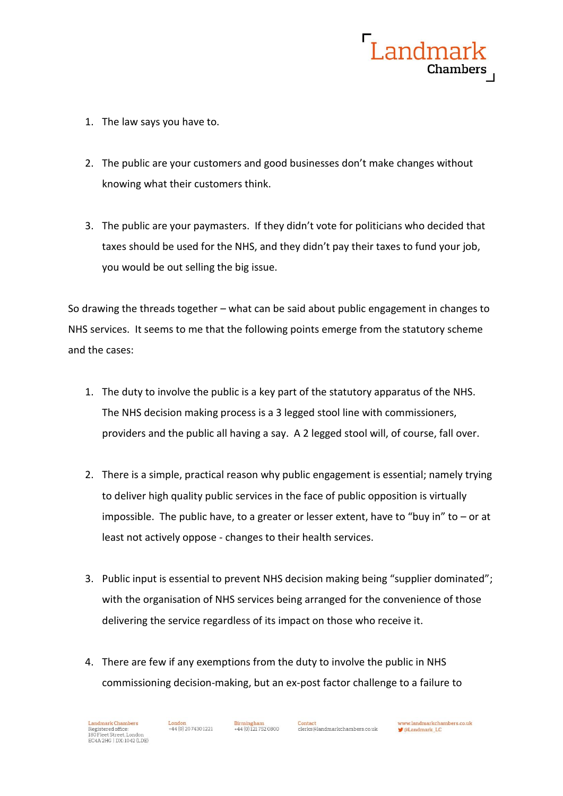

- 1. The law says you have to.
- 2. The public are your customers and good businesses don't make changes without knowing what their customers think.
- 3. The public are your paymasters. If they didn't vote for politicians who decided that taxes should be used for the NHS, and they didn't pay their taxes to fund your job, you would be out selling the big issue.

So drawing the threads together – what can be said about public engagement in changes to NHS services. It seems to me that the following points emerge from the statutory scheme and the cases:

- 1. The duty to involve the public is a key part of the statutory apparatus of the NHS. The NHS decision making process is a 3 legged stool line with commissioners, providers and the public all having a say. A 2 legged stool will, of course, fall over.
- 2. There is a simple, practical reason why public engagement is essential; namely trying to deliver high quality public services in the face of public opposition is virtually impossible. The public have, to a greater or lesser extent, have to "buy in" to – or at least not actively oppose - changes to their health services.
- 3. Public input is essential to prevent NHS decision making being "supplier dominated"; with the organisation of NHS services being arranged for the convenience of those delivering the service regardless of its impact on those who receive it.
- 4. There are few if any exemptions from the duty to involve the public in NHS commissioning decision-making, but an ex-post factor challenge to a failure to